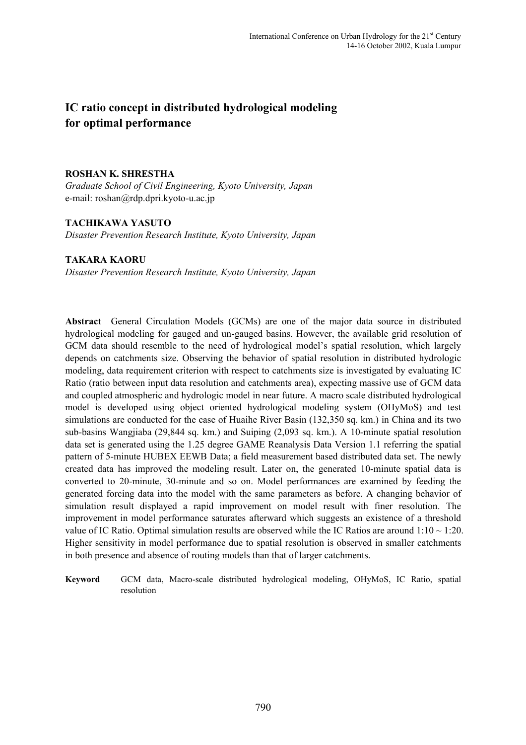# **IC ratio concept in distributed hydrological modeling for optimal performance**

#### **ROSHAN K. SHRESTHA**

*Graduate School of Civil Engineering, Kyoto University, Japan*  e-mail: roshan@rdp.dpri.kyoto-u.ac.jp

## **TACHIKAWA YASUTO**

*Disaster Prevention Research Institute, Kyoto University, Japan* 

## **TAKARA KAORU**

*Disaster Prevention Research Institute, Kyoto University, Japan* 

**Abstract** General Circulation Models (GCMs) are one of the major data source in distributed hydrological modeling for gauged and un-gauged basins. However, the available grid resolution of GCM data should resemble to the need of hydrological model's spatial resolution, which largely depends on catchments size. Observing the behavior of spatial resolution in distributed hydrologic modeling, data requirement criterion with respect to catchments size is investigated by evaluating IC Ratio (ratio between input data resolution and catchments area), expecting massive use of GCM data and coupled atmospheric and hydrologic model in near future. A macro scale distributed hydrological model is developed using object oriented hydrological modeling system (OHyMoS) and test simulations are conducted for the case of Huaihe River Basin (132,350 sq. km.) in China and its two sub-basins Wangjiaba (29,844 sq. km.) and Suiping (2,093 sq. km.). A 10-minute spatial resolution data set is generated using the 1.25 degree GAME Reanalysis Data Version 1.1 referring the spatial pattern of 5-minute HUBEX EEWB Data; a field measurement based distributed data set. The newly created data has improved the modeling result. Later on, the generated 10-minute spatial data is converted to 20-minute, 30-minute and so on. Model performances are examined by feeding the generated forcing data into the model with the same parameters as before. A changing behavior of simulation result displayed a rapid improvement on model result with finer resolution. The improvement in model performance saturates afterward which suggests an existence of a threshold value of IC Ratio. Optimal simulation results are observed while the IC Ratios are around  $1:10 \sim 1:20$ . Higher sensitivity in model performance due to spatial resolution is observed in smaller catchments in both presence and absence of routing models than that of larger catchments.

**Keyword** GCM data, Macro-scale distributed hydrological modeling, OHyMoS, IC Ratio, spatial resolution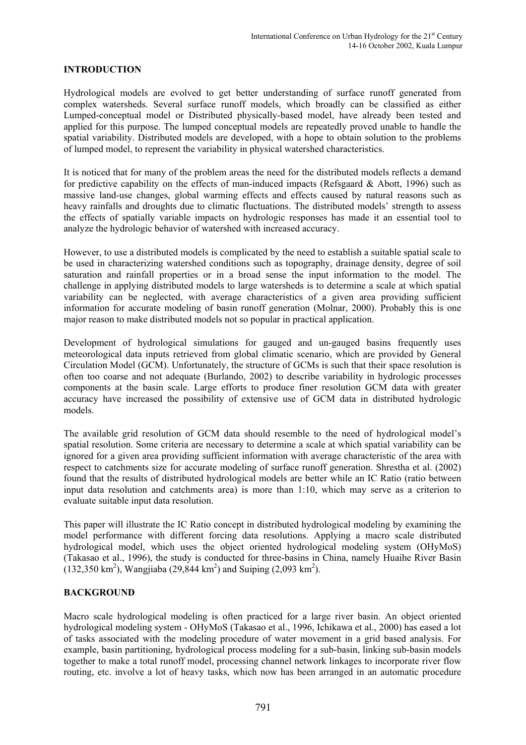#### **INTRODUCTION**

Hydrological models are evolved to get better understanding of surface runoff generated from complex watersheds. Several surface runoff models, which broadly can be classified as either Lumped-conceptual model or Distributed physically-based model, have already been tested and applied for this purpose. The lumped conceptual models are repeatedly proved unable to handle the spatial variability. Distributed models are developed, with a hope to obtain solution to the problems of lumped model, to represent the variability in physical watershed characteristics.

It is noticed that for many of the problem areas the need for the distributed models reflects a demand for predictive capability on the effects of man-induced impacts (Refsgaard & Abott, 1996) such as massive land-use changes, global warming effects and effects caused by natural reasons such as heavy rainfalls and droughts due to climatic fluctuations. The distributed models' strength to assess the effects of spatially variable impacts on hydrologic responses has made it an essential tool to analyze the hydrologic behavior of watershed with increased accuracy.

However, to use a distributed models is complicated by the need to establish a suitable spatial scale to be used in characterizing watershed conditions such as topography, drainage density, degree of soil saturation and rainfall properties or in a broad sense the input information to the model. The challenge in applying distributed models to large watersheds is to determine a scale at which spatial variability can be neglected, with average characteristics of a given area providing sufficient information for accurate modeling of basin runoff generation (Molnar, 2000). Probably this is one major reason to make distributed models not so popular in practical application.

Development of hydrological simulations for gauged and un-gauged basins frequently uses meteorological data inputs retrieved from global climatic scenario, which are provided by General Circulation Model (GCM). Unfortunately, the structure of GCMs is such that their space resolution is often too coarse and not adequate (Burlando, 2002) to describe variability in hydrologic processes components at the basin scale. Large efforts to produce finer resolution GCM data with greater accuracy have increased the possibility of extensive use of GCM data in distributed hydrologic models.

The available grid resolution of GCM data should resemble to the need of hydrological model's spatial resolution. Some criteria are necessary to determine a scale at which spatial variability can be ignored for a given area providing sufficient information with average characteristic of the area with respect to catchments size for accurate modeling of surface runoff generation. Shrestha et al. (2002) found that the results of distributed hydrological models are better while an IC Ratio (ratio between input data resolution and catchments area) is more than 1:10, which may serve as a criterion to evaluate suitable input data resolution.

This paper will illustrate the IC Ratio concept in distributed hydrological modeling by examining the model performance with different forcing data resolutions. Applying a macro scale distributed hydrological model, which uses the object oriented hydrological modeling system (OHyMoS) (Takasao et al., 1996), the study is conducted for three-basins in China, namely Huaihe River Basin  $(132,350 \text{ km}^2)$ , Wangjiaba (29,844 km<sup>2</sup>) and Suiping (2,093 km<sup>2</sup>).

#### **BACKGROUND**

Macro scale hydrological modeling is often practiced for a large river basin. An object oriented hydrological modeling system - OHyMoS (Takasao et al., 1996, Ichikawa et al., 2000) has eased a lot of tasks associated with the modeling procedure of water movement in a grid based analysis. For example, basin partitioning, hydrological process modeling for a sub-basin, linking sub-basin models together to make a total runoff model, processing channel network linkages to incorporate river flow routing, etc. involve a lot of heavy tasks, which now has been arranged in an automatic procedure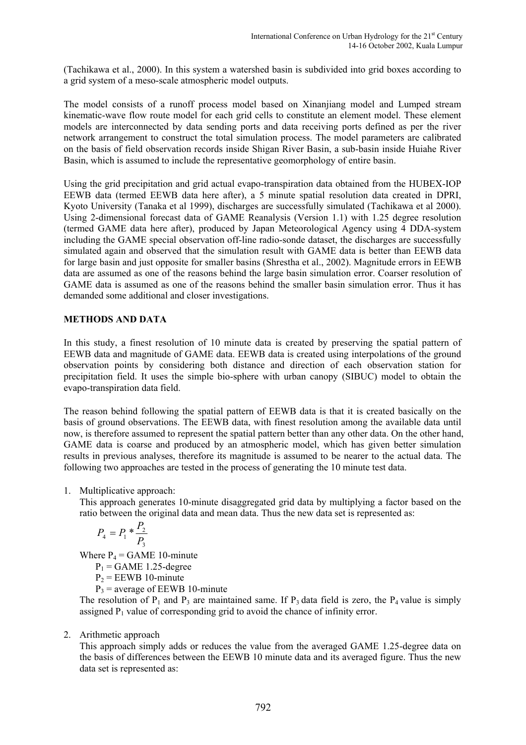(Tachikawa et al., 2000). In this system a watershed basin is subdivided into grid boxes according to a grid system of a meso-scale atmospheric model outputs.

The model consists of a runoff process model based on Xinanjiang model and Lumped stream kinematic-wave flow route model for each grid cells to constitute an element model. These element models are interconnected by data sending ports and data receiving ports defined as per the river network arrangement to construct the total simulation process. The model parameters are calibrated on the basis of field observation records inside Shigan River Basin, a sub-basin inside Huiahe River Basin, which is assumed to include the representative geomorphology of entire basin.

Using the grid precipitation and grid actual evapo-transpiration data obtained from the HUBEX-IOP EEWB data (termed EEWB data here after), a 5 minute spatial resolution data created in DPRI, Kyoto University (Tanaka et al 1999), discharges are successfully simulated (Tachikawa et al 2000). Using 2-dimensional forecast data of GAME Reanalysis (Version 1.1) with 1.25 degree resolution (termed GAME data here after), produced by Japan Meteorological Agency using 4 DDA-system including the GAME special observation off-line radio-sonde dataset, the discharges are successfully simulated again and observed that the simulation result with GAME data is better than EEWB data for large basin and just opposite for smaller basins (Shrestha et al., 2002). Magnitude errors in EEWB data are assumed as one of the reasons behind the large basin simulation error. Coarser resolution of GAME data is assumed as one of the reasons behind the smaller basin simulation error. Thus it has demanded some additional and closer investigations.

## **METHODS AND DATA**

In this study, a finest resolution of 10 minute data is created by preserving the spatial pattern of EEWB data and magnitude of GAME data. EEWB data is created using interpolations of the ground observation points by considering both distance and direction of each observation station for precipitation field. It uses the simple bio-sphere with urban canopy (SIBUC) model to obtain the evapo-transpiration data field.

The reason behind following the spatial pattern of EEWB data is that it is created basically on the basis of ground observations. The EEWB data, with finest resolution among the available data until now, is therefore assumed to represent the spatial pattern better than any other data. On the other hand, GAME data is coarse and produced by an atmospheric model, which has given better simulation results in previous analyses, therefore its magnitude is assumed to be nearer to the actual data. The following two approaches are tested in the process of generating the 10 minute test data.

1. Multiplicative approach:

This approach generates 10-minute disaggregated grid data by multiplying a factor based on the ratio between the original data and mean data. Thus the new data set is represented as:

$$
P_4 = P_1 * \frac{P_2}{P_3}
$$

Where  $P_4$  = GAME 10-minute

 $P_1$  = GAME 1.25-degree

 $P_2$  = EEWB 10-minute

 $P_3$  = average of EEWB 10-minute

The resolution of  $P_1$  and  $P_3$  are maintained same. If  $P_3$  data field is zero, the  $P_4$  value is simply assigned  $P_1$  value of corresponding grid to avoid the chance of infinity error.

# 2. Arithmetic approach

This approach simply adds or reduces the value from the averaged GAME 1.25-degree data on the basis of differences between the EEWB 10 minute data and its averaged figure. Thus the new data set is represented as: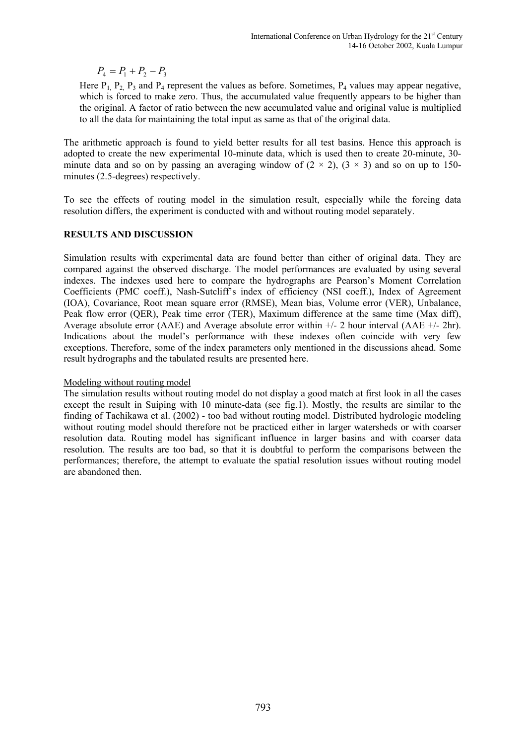$$
P_4 = P_1 + P_2 - P_3
$$

Here  $P_1$ ,  $P_2$ ,  $P_3$  and  $P_4$  represent the values as before. Sometimes,  $P_4$  values may appear negative, which is forced to make zero. Thus, the accumulated value frequently appears to be higher than the original. A factor of ratio between the new accumulated value and original value is multiplied to all the data for maintaining the total input as same as that of the original data.

The arithmetic approach is found to yield better results for all test basins. Hence this approach is adopted to create the new experimental 10-minute data, which is used then to create 20-minute, 30 minute data and so on by passing an averaging window of  $(2 \times 2)$ ,  $(3 \times 3)$  and so on up to 150minutes (2.5-degrees) respectively.

To see the effects of routing model in the simulation result, especially while the forcing data resolution differs, the experiment is conducted with and without routing model separately.

## **RESULTS AND DISCUSSION**

Simulation results with experimental data are found better than either of original data. They are compared against the observed discharge. The model performances are evaluated by using several indexes. The indexes used here to compare the hydrographs are Pearson's Moment Correlation Coefficients (PMC coeff.), Nash-Sutcliff's index of efficiency (NSI coeff.), Index of Agreement (IOA), Covariance, Root mean square error (RMSE), Mean bias, Volume error (VER), Unbalance, Peak flow error (QER), Peak time error (TER), Maximum difference at the same time (Max diff), Average absolute error (AAE) and Average absolute error within  $+/$ - 2 hour interval (AAE  $+/$ - 2hr). Indications about the model's performance with these indexes often coincide with very few exceptions. Therefore, some of the index parameters only mentioned in the discussions ahead. Some result hydrographs and the tabulated results are presented here.

#### Modeling without routing model

The simulation results without routing model do not display a good match at first look in all the cases except the result in Suiping with 10 minute-data (see fig.1). Mostly, the results are similar to the finding of Tachikawa et al. (2002) - too bad without routing model. Distributed hydrologic modeling without routing model should therefore not be practiced either in larger watersheds or with coarser resolution data. Routing model has significant influence in larger basins and with coarser data resolution. The results are too bad, so that it is doubtful to perform the comparisons between the performances; therefore, the attempt to evaluate the spatial resolution issues without routing model are abandoned then.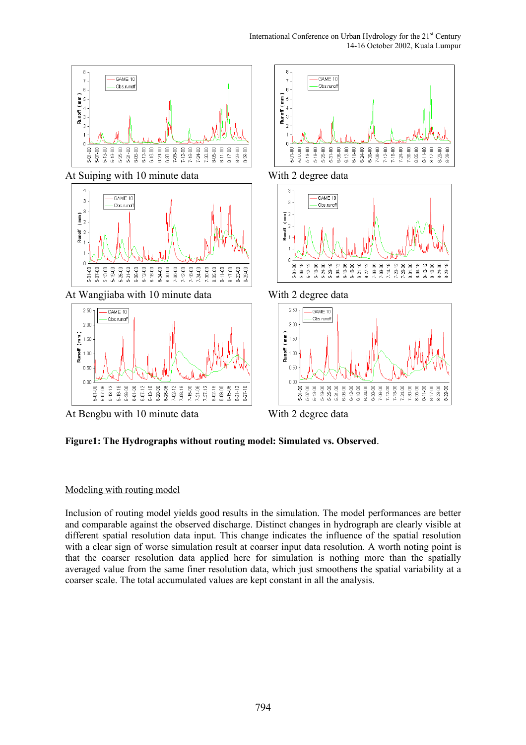

**Figure1: The Hydrographs without routing model: Simulated vs. Observed**.

# Modeling with routing model

Inclusion of routing model yields good results in the simulation. The model performances are better and comparable against the observed discharge. Distinct changes in hydrograph are clearly visible at different spatial resolution data input. This change indicates the influence of the spatial resolution with a clear sign of worse simulation result at coarser input data resolution. A worth noting point is that the coarser resolution data applied here for simulation is nothing more than the spatially averaged value from the same finer resolution data, which just smoothens the spatial variability at a coarser scale. The total accumulated values are kept constant in all the analysis.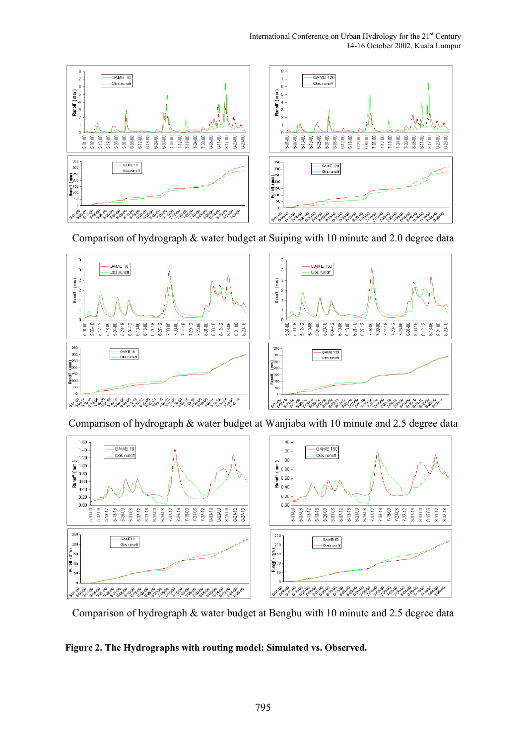

Comparison of hydrograph & water budget at Suiping with 10 minute and 2.0 degree data



Comparison of hydrograph & water budget at Wanjiaba with 10 minute and 2.5 degree data



Comparison of hydrograph & water budget at Bengbu with 10 minute and 2.5 degree data

# **Figure 2. The Hydrographs with routing model: Simulated vs. Observed.**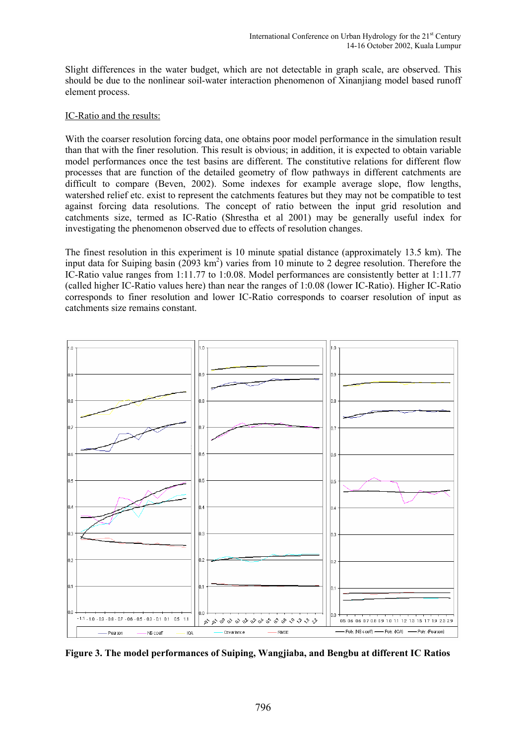Slight differences in the water budget, which are not detectable in graph scale, are observed. This should be due to the nonlinear soil-water interaction phenomenon of Xinanjiang model based runoff element process.

#### IC-Ratio and the results:

With the coarser resolution forcing data, one obtains poor model performance in the simulation result than that with the finer resolution. This result is obvious; in addition, it is expected to obtain variable model performances once the test basins are different. The constitutive relations for different flow processes that are function of the detailed geometry of flow pathways in different catchments are difficult to compare (Beven, 2002). Some indexes for example average slope, flow lengths, watershed relief etc. exist to represent the catchments features but they may not be compatible to test against forcing data resolutions. The concept of ratio between the input grid resolution and catchments size, termed as IC-Ratio (Shrestha et al 2001) may be generally useful index for investigating the phenomenon observed due to effects of resolution changes.

The finest resolution in this experiment is 10 minute spatial distance (approximately 13.5 km). The input data for Suiping basin ( $2093 \text{ km}^2$ ) varies from 10 minute to 2 degree resolution. Therefore the IC-Ratio value ranges from 1:11.77 to 1:0.08. Model performances are consistently better at 1:11.77 (called higher IC-Ratio values here) than near the ranges of 1:0.08 (lower IC-Ratio). Higher IC-Ratio corresponds to finer resolution and lower IC-Ratio corresponds to coarser resolution of input as catchments size remains constant.



**Figure 3. The model performances of Suiping, Wangjiaba, and Bengbu at different IC Ratios**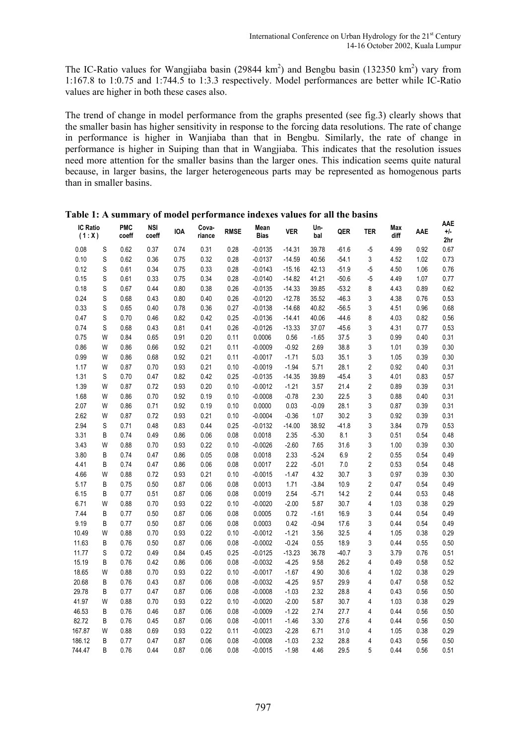The IC-Ratio values for Wangjiaba basin (29844 km<sup>2</sup>) and Bengbu basin (132350 km<sup>2</sup>) vary from 1:167.8 to 1:0.75 and 1:744.5 to 1:3.3 respectively. Model performances are better while IC-Ratio values are higher in both these cases also.

The trend of change in model performance from the graphs presented (see fig.3) clearly shows that the smaller basin has higher sensitivity in response to the forcing data resolutions. The rate of change in performance is higher in Wanjiaba than that in Bengbu. Similarly, the rate of change in performance is higher in Suiping than that in Wangjiaba. This indicates that the resolution issues need more attention for the smaller basins than the larger ones. This indication seems quite natural because, in larger basins, the larger heterogeneous parts may be represented as homogenous parts than in smaller basins.

| <b>IC Ratio</b><br>(1:X) |   | <b>PMC</b><br>coeff | <b>NSI</b><br>coeff | <b>IOA</b> | Cova-<br>riance | <b>RMSE</b> | Mean<br><b>Bias</b> | Ver      | Un-<br>bal | QER     | <b>TER</b>     | Max<br>diff | AAE  | AAE<br>+/-<br>2hr |
|--------------------------|---|---------------------|---------------------|------------|-----------------|-------------|---------------------|----------|------------|---------|----------------|-------------|------|-------------------|
| 0.08                     | S | 0.62                | 0.37                | 0.74       | 0.31            | 0.28        | $-0.0135$           | $-14.31$ | 39.78      | $-61.6$ | $-5$           | 4.99        | 0.92 | 0.67              |
| 0.10                     | S | 0.62                | 0.36                | 0.75       | 0.32            | 0.28        | $-0.0137$           | $-14.59$ | 40.56      | $-54.1$ | 3              | 4.52        | 1.02 | 0.73              |
| 0.12                     | S | 0.61                | 0.34                | 0.75       | 0.33            | 0.28        | $-0.0143$           | $-15.16$ | 42.13      | $-51.9$ | $-5$           | 4.50        | 1.06 | 0.76              |
| 0.15                     | S | 0.61                | 0.33                | 0.75       | 0.34            | 0.28        | $-0.0140$           | $-14.82$ | 41.21      | $-50.6$ | $-5$           | 4.49        | 1.07 | 0.77              |
| 0.18                     | S | 0.67                | 0.44                | 0.80       | 0.38            | 0.26        | $-0.0135$           | $-14.33$ | 39.85      | $-53.2$ | 8              | 4.43        | 0.89 | 0.62              |
| 0.24                     | S | 0.68                | 0.43                | 0.80       | 0.40            | 0.26        | $-0.0120$           | $-12.78$ | 35.52      | $-46.3$ | 3              | 4.38        | 0.76 | 0.53              |
| 0.33                     | S | 0.65                | 0.40                | 0.78       | 0.36            | 0.27        | $-0.0138$           | $-14.68$ | 40.82      | $-56.5$ | 3              | 4.51        | 0.96 | 0.68              |
| 0.47                     | S | 0.70                | 0.46                | 0.82       | 0.42            | 0.25        | $-0.0136$           | $-14.41$ | 40.06      | $-44.6$ | 8              | 4.03        | 0.82 | 0.56              |
| 0.74                     | S | 0.68                | 0.43                | 0.81       | 0.41            | 0.26        | $-0.0126$           | $-13.33$ | 37.07      | $-45.6$ | 3              | 4.31        | 0.77 | 0.53              |
| 0.75                     | W | 0.84                | 0.65                | 0.91       | 0.20            | 0.11        | 0.0006              | 0.56     | $-1.65$    | 37.5    | 3              | 0.99        | 0.40 | 0.31              |
| 0.86                     | W | 0.86                | 0.66                | 0.92       | 0.21            | 0.11        | $-0.0009$           | $-0.92$  | 2.69       | 38.8    | 3              | 1.01        | 0.39 | 0.30              |
| 0.99                     | W | 0.86                | 0.68                | 0.92       | 0.21            | 0.11        | $-0.0017$           | $-1.71$  | 5.03       | 35.1    | 3              | 1.05        | 0.39 | 0.30              |
| 1.17                     | W | 0.87                | 0.70                | 0.93       | 0.21            | 0.10        | $-0.0019$           | $-1.94$  | 5.71       | 28.1    | 2              | 0.92        | 0.40 | 0.31              |
| 1.31                     | S | 0.70                | 0.47                | 0.82       | 0.42            | 0.25        | $-0.0135$           | $-14.35$ | 39.89      | $-45.4$ | 3              | 4.01        | 0.83 | 0.57              |
| 1.39                     | W | 0.87                | 0.72                | 0.93       | 0.20            | 0.10        | $-0.0012$           | $-1.21$  | 3.57       | 21.4    | $\overline{c}$ | 0.89        | 0.39 | 0.31              |
| 1.68                     | W | 0.86                | 0.70                | 0.92       | 0.19            | 0.10        | $-0.0008$           | $-0.78$  | 2.30       | 22.5    | 3              | 0.88        | 0.40 | 0.31              |
| 2.07                     | W | 0.86                | 0.71                | 0.92       | 0.19            | 0.10        | 0.0000              | 0.03     | $-0.09$    | 28.1    | 3              | 0.87        | 0.39 | 0.31              |
| 2.62                     | W | 0.87                | 0.72                | 0.93       | 0.21            | 0.10        | $-0.0004$           | $-0.36$  | 1.07       | 30.2    | 3              | 0.92        | 0.39 | 0.31              |
| 2.94                     | S | 0.71                | 0.48                | 0.83       | 0.44            | 0.25        | $-0.0132$           | $-14.00$ | 38.92      | $-41.8$ | 3              | 3.84        | 0.79 | 0.53              |
| 3.31                     | B | 0.74                | 0.49                | 0.86       | 0.06            | 0.08        | 0.0018              | 2.35     | $-5.30$    | 8.1     | 3              | 0.51        | 0.54 | 0.48              |
| 3.43                     | W | 0.88                | 0.70                | 0.93       | 0.22            | 0.10        | $-0.0026$           | $-2.60$  | 7.65       | 31.6    | 3              | 1.00        | 0.39 | 0.30              |
| 3.80                     | B | 0.74                | 0.47                | 0.86       | 0.05            | 0.08        | 0.0018              | 2.33     | $-5.24$    | 6.9     | $\overline{c}$ | 0.55        | 0.54 | 0.49              |
| 4.41                     | B | 0.74                | 0.47                | 0.86       | 0.06            | 0.08        | 0.0017              | 2.22     | $-5.01$    | 7.0     | 2              | 0.53        | 0.54 | 0.48              |
| 4.66                     | W | 0.88                | 0.72                | 0.93       | 0.21            | 0.10        | $-0.0015$           | $-1.47$  | 4.32       | 30.7    | 3              | 0.97        | 0.39 | 0.30              |
| 5.17                     | B | 0.75                | 0.50                | 0.87       | 0.06            | 0.08        | 0.0013              | 1.71     | $-3.84$    | 10.9    | 2              | 0.47        | 0.54 | 0.49              |
| 6.15                     | B | 0.77                | 0.51                | 0.87       | 0.06            | 0.08        | 0.0019              | 2.54     | $-5.71$    | 14.2    | 2              | 0.44        | 0.53 | 0.48              |
| 6.71                     | W | 0.88                | 0.70                | 0.93       | 0.22            | 0.10        | $-0.0020$           | $-2.00$  | 5.87       | 30.7    | 4              | 1.03        | 0.38 | 0.29              |
| 7.44                     | B | 0.77                | 0.50                | 0.87       | 0.06            | 0.08        | 0.0005              | 0.72     | $-1.61$    | 16.9    | 3              | 0.44        | 0.54 | 0.49              |
| 9.19                     | В | 0.77                | 0.50                | 0.87       | 0.06            | 0.08        | 0.0003              | 0.42     | $-0.94$    | 17.6    | 3              | 0.44        | 0.54 | 0.49              |
| 10.49                    | W | 0.88                | 0.70                | 0.93       | 0.22            | 0.10        | $-0.0012$           | $-1.21$  | 3.56       | 32.5    | 4              | 1.05        | 0.38 | 0.29              |
| 11.63                    | B | 0.76                | 0.50                | 0.87       | 0.06            | 0.08        | $-0.0002$           | $-0.24$  | 0.55       | 18.9    | 3              | 0.44        | 0.55 | 0.50              |
| 11.77                    | S | 0.72                | 0.49                | 0.84       | 0.45            | 0.25        | $-0.0125$           | $-13.23$ | 36.78      | $-40.7$ | 3              | 3.79        | 0.76 | 0.51              |
| 15.19                    | B | 0.76                | 0.42                | 0.86       | 0.06            | 0.08        | $-0.0032$           | $-4.25$  | 9.58       | 26.2    | 4              | 0.49        | 0.58 | 0.52              |
| 18.65                    | W | 0.88                | 0.70                | 0.93       | 0.22            | 0.10        | $-0.0017$           | $-1.67$  | 4.90       | 30.6    | 4              | 1.02        | 0.38 | 0.29              |
| 20.68                    | B | 0.76                | 0.43                | 0.87       | 0.06            | 0.08        | $-0.0032$           | $-4.25$  | 9.57       | 29.9    | 4              | 0.47        | 0.58 | 0.52              |
| 29.78                    | B | 0.77                | 0.47                | 0.87       | 0.06            | 0.08        | $-0.0008$           | $-1.03$  | 2.32       | 28.8    | 4              | 0.43        | 0.56 | 0.50              |
| 41.97                    | W | 0.88                | 0.70                | 0.93       | 0.22            | 0.10        | $-0.0020$           | $-2.00$  | 5.87       | 30.7    | 4              | 1.03        | 0.38 | 0.29              |
| 46.53                    | B | 0.76                | 0.46                | 0.87       | 0.06            | 0.08        | $-0.0009$           | $-1.22$  | 2.74       | 27.7    | 4              | 0.44        | 0.56 | 0.50              |
| 82.72                    | B | 0.76                | 0.45                | 0.87       | 0.06            | 0.08        | $-0.0011$           | $-1.46$  | 3.30       | 27.6    | 4              | 0.44        | 0.56 | 0.50              |
| 167.87                   | W | 0.88                | 0.69                | 0.93       | 0.22            | 0.11        | $-0.0023$           | $-2.28$  | 6.71       | 31.0    | 4              | 1.05        | 0.38 | 0.29              |
| 186.12                   | B | 0.77                | 0.47                | 0.87       | 0.06            | 0.08        | $-0.0008$           | $-1.03$  | 2.32       | 28.8    | 4              | 0.43        | 0.56 | 0.50              |
| 744.47                   | B | 0.76                | 0.44                | 0.87       | 0.06            | 0.08        | $-0.0015$           | $-1.98$  | 4.46       | 29.5    | 5              | 0.44        | 0.56 | 0.51              |

**Table 1: A summary of model performance indexes values for all the basins**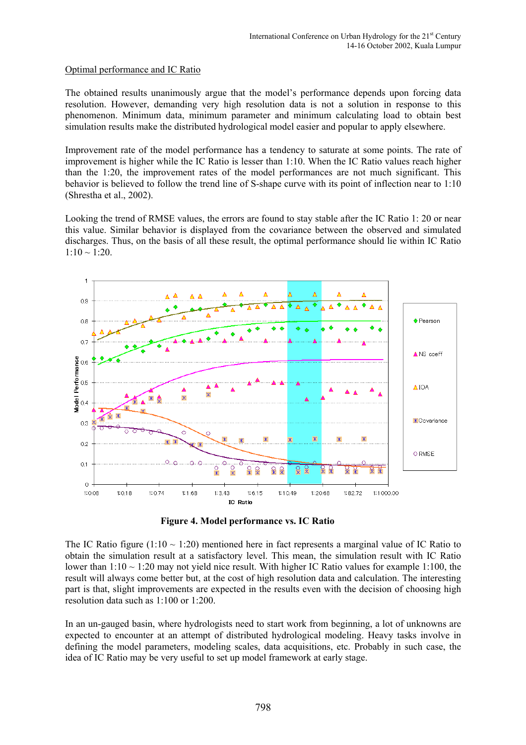## Optimal performance and IC Ratio

The obtained results unanimously argue that the model's performance depends upon forcing data resolution. However, demanding very high resolution data is not a solution in response to this phenomenon. Minimum data, minimum parameter and minimum calculating load to obtain best simulation results make the distributed hydrological model easier and popular to apply elsewhere.

Improvement rate of the model performance has a tendency to saturate at some points. The rate of improvement is higher while the IC Ratio is lesser than 1:10. When the IC Ratio values reach higher than the 1:20, the improvement rates of the model performances are not much significant. This behavior is believed to follow the trend line of S-shape curve with its point of inflection near to 1:10 (Shrestha et al., 2002).

Looking the trend of RMSE values, the errors are found to stay stable after the IC Ratio 1: 20 or near this value. Similar behavior is displayed from the covariance between the observed and simulated discharges. Thus, on the basis of all these result, the optimal performance should lie within IC Ratio  $1:10 \sim 1:20$ .



**Figure 4. Model performance vs. IC Ratio** 

The IC Ratio figure (1:10  $\sim$  1:20) mentioned here in fact represents a marginal value of IC Ratio to obtain the simulation result at a satisfactory level. This mean, the simulation result with IC Ratio lower than  $1:10 \sim 1:20$  may not yield nice result. With higher IC Ratio values for example 1:100, the result will always come better but, at the cost of high resolution data and calculation. The interesting part is that, slight improvements are expected in the results even with the decision of choosing high resolution data such as 1:100 or 1:200.

In an un-gauged basin, where hydrologists need to start work from beginning, a lot of unknowns are expected to encounter at an attempt of distributed hydrological modeling. Heavy tasks involve in defining the model parameters, modeling scales, data acquisitions, etc. Probably in such case, the idea of IC Ratio may be very useful to set up model framework at early stage.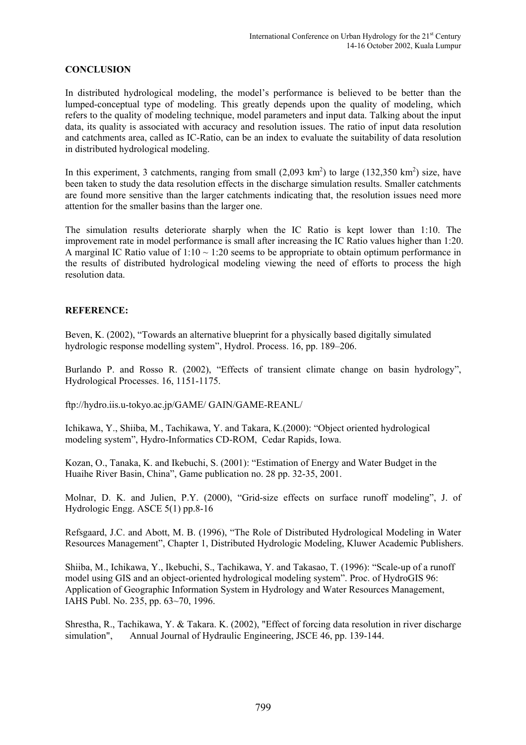# **CONCLUSION**

In distributed hydrological modeling, the model's performance is believed to be better than the lumped-conceptual type of modeling. This greatly depends upon the quality of modeling, which refers to the quality of modeling technique, model parameters and input data. Talking about the input data, its quality is associated with accuracy and resolution issues. The ratio of input data resolution and catchments area, called as IC-Ratio, can be an index to evaluate the suitability of data resolution in distributed hydrological modeling.

In this experiment, 3 catchments, ranging from small  $(2,093 \text{ km}^2)$  to large  $(132,350 \text{ km}^2)$  size, have been taken to study the data resolution effects in the discharge simulation results. Smaller catchments are found more sensitive than the larger catchments indicating that, the resolution issues need more attention for the smaller basins than the larger one.

The simulation results deteriorate sharply when the IC Ratio is kept lower than 1:10. The improvement rate in model performance is small after increasing the IC Ratio values higher than 1:20. A marginal IC Ratio value of  $1:10 \sim 1:20$  seems to be appropriate to obtain optimum performance in the results of distributed hydrological modeling viewing the need of efforts to process the high resolution data.

## **REFERENCE:**

Beven, K. (2002), "Towards an alternative blueprint for a physically based digitally simulated hydrologic response modelling system", Hydrol. Process. 16, pp. 189–206.

Burlando P. and Rosso R. (2002), "Effects of transient climate change on basin hydrology", Hydrological Processes. 16, 1151-1175.

[ftp://hydro.iis.u-tokyo.ac.jp/GAME/ GAIN/GAME-REANL/](ftp://hydro.iis.u-tokyo.ac.jp/GAME/GAIN/GAME-REANL/)

Ichikawa, Y., Shiiba, M., Tachikawa, Y. and Takara, K.(2000): "Object oriented hydrological modeling system", Hydro-Informatics CD-ROM, Cedar Rapids, Iowa.

Kozan, O., Tanaka, K. and Ikebuchi, S. (2001): "Estimation of Energy and Water Budget in the Huaihe River Basin, China", Game publication no. 28 pp. 32-35, 2001.

Molnar, D. K. and Julien, P.Y. (2000), "Grid-size effects on surface runoff modeling", J. of Hydrologic Engg. ASCE 5(1) pp.8-16

Refsgaard, J.C. and Abott, M. B. (1996), "The Role of Distributed Hydrological Modeling in Water Resources Management", Chapter 1, Distributed Hydrologic Modeling, Kluwer Academic Publishers.

Shiiba, M., Ichikawa, Y., Ikebuchi, S., Tachikawa, Y. and Takasao, T. (1996): "Scale-up of a runoff model using GIS and an object-oriented hydrological modeling system". Proc. of HydroGIS 96: Application of Geographic Information System in Hydrology and Water Resources Management, IAHS Publ. No. 235, pp. 63~70, 1996.

Shrestha, R., Tachikawa, Y. & Takara. K. (2002), "Effect of forcing data resolution in river discharge simulation", Annual Journal of Hydraulic Engineering, JSCE 46, pp. 139-144.